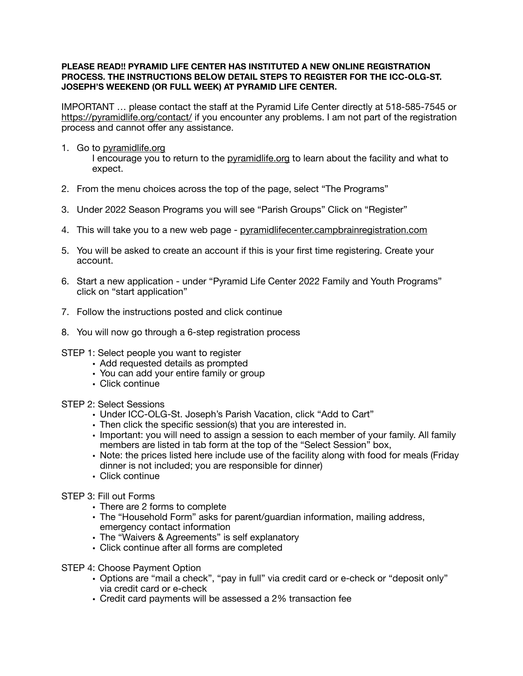## **PLEASE READ!! PYRAMID LIFE CENTER HAS INSTITUTED A NEW ONLINE REGISTRATION PROCESS. THE INSTRUCTIONS BELOW DETAIL STEPS TO REGISTER FOR THE ICC-OLG-ST. JOSEPH'S WEEKEND (OR FULL WEEK) AT PYRAMID LIFE CENTER.**

IMPORTANT … please contact the staff at the Pyramid Life Center directly at 518-585-7545 or <https://pyramidlife.org/contact/>if you encounter any problems. I am not part of the registration process and cannot offer any assistance.

- 1. Go to [pyramidlife.org](http://pyramidlife.org) I encourage you to return to the [pyramidlife.org](http://pyramidlife.org) to learn about the facility and what to expect.
- 2. From the menu choices across the top of the page, select "The Programs"
- 3. Under 2022 Season Programs you will see "Parish Groups" Click on "Register"
- 4. This will take you to a new web page - [pyramidlifecenter.campbrainregistration.com](http://pyramidlifecenter.campbrainregistration.com)
- 5. You will be asked to create an account if this is your first time registering. Create your account.
- 6. Start a new application under "Pyramid Life Center 2022 Family and Youth Programs" click on "start application"
- 7. Follow the instructions posted and click continue
- 8. You will now go through a 6-step registration process
- STEP 1: Select people you want to register
	- Add requested details as prompted
	- You can add your entire family or group
	- Click continue
- STEP 2: Select Sessions
	- Under ICC-OLG-St. Joseph's Parish Vacation, click "Add to Cart"
	- Then click the specific session(s) that you are interested in.
	- Important: you will need to assign a session to each member of your family. All family members are listed in tab form at the top of the "Select Session" box,
	- Note: the prices listed here include use of the facility along with food for meals (Friday dinner is not included; you are responsible for dinner)
	- Click continue
- STEP 3: Fill out Forms
	- There are 2 forms to complete
	- The "Household Form" asks for parent/guardian information, mailing address, emergency contact information
	- The "Waivers & Agreements" is self explanatory
	- Click continue after all forms are completed
- STEP 4: Choose Payment Option
	- Options are "mail a check", "pay in full" via credit card or e-check or "deposit only" via credit card or e-check
	- Credit card payments will be assessed a 2% transaction fee